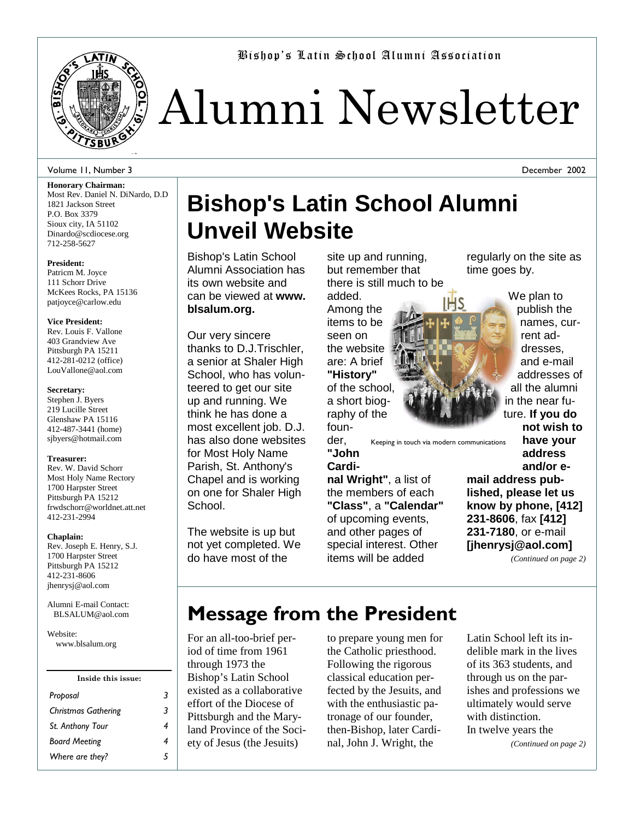

Bishop's Latin School Alumni Association

# Alumni Newsletter

### Volume 11, Number 3

**Honorary Chairman:**  Most Rev. Daniel N. DiNardo, D.D 1821 Jackson Street P.O. Box 3379 Sioux city, IA 51102 Dinardo@scdiocese.org 712-258-5627

### **President:**

Patricm M. Joyce 111 Schorr Drive McKees Rocks, PA 15136 patjoyce@carlow.edu

### **Vice President:**

Rev. Louis F. Vallone 403 Grandview Ave Pittsburgh PA 15211 412-281-0212 (office) LouVallone@aol.com

### **Secretary:**

Stephen J. Byers 219 Lucille Street Glenshaw PA 15116 412-487-3441 (home) sjbyers@hotmail.com

#### **Treasurer:**

Rev. W. David Schorr Most Holy Name Rectory 1700 Harpster Street Pittsburgh PA 15212 frwdschorr@worldnet.att.net 412-231-2994

### **Chaplain:**

Rev. Joseph E. Henry, S.J. 1700 Harpster Street Pittsburgh PA 15212 412-231-8606 jhenrysj@aol.com

Alumni E-mail Contact: BLSALUM@aol.com

Website: www.blsalum.org

| Inside this issue:         |   |
|----------------------------|---|
| Proposal                   | 3 |
| <b>Christmas Gathering</b> | 3 |
| St. Anthony Tour           | 4 |
| <b>Board Meeting</b>       | 4 |
| Where are they?            |   |
|                            |   |

# **Bishop's Latin School Alumni Unveil Website**

Bishop's Latin School Alumni Association has its own website and can be viewed at **www. blsalum.org.**

Our very sincere thanks to D.J.Trischler, a senior at Shaler High School, who has volunteered to get our site up and running. We think he has done a most excellent job. D.J. has also done websites for Most Holy Name Parish, St. Anthony's Chapel and is working on one for Shaler High School.

The website is up but not yet completed. We do have most of the

site up and running, but remember that there is still much to be

added. Among the items to be seen on the website are: A brief **"History"**  of the school, a short biography of the founregularly on the site as time goes by.



We plan to publish the names, current addresses, and e-mail addresses of all the alumni in the near future. **If you do not wish to**

December 2002

der, Keeping in touch via modern communications

**"John Cardi-**

**nal Wright"**, a list of the members of each **"Class"**, a **"Calendar"** of upcoming events, and other pages of special interest. Other items will be added

**have your address and/or email address published, please let us know by phone, [412] 231-8606**, fax **[412] 231-7180**, or e-mail **[jhenrysj@aol.com]** 

*(Continued on page 2)* 

# **Message from the President**

For an all-too-brief period of time from 1961 through 1973 the Bishop's Latin School existed as a collaborative effort of the Diocese of Pittsburgh and the Maryland Province of the Society of Jesus (the Jesuits)

to prepare young men for the Catholic priesthood. Following the rigorous classical education perfected by the Jesuits, and with the enthusiastic patronage of our founder, then-Bishop, later Cardinal, John J. Wright, the

Latin School left its indelible mark in the lives of its 363 students, and through us on the parishes and professions we ultimately would serve with distinction. In twelve years the *(Continued on page 2)*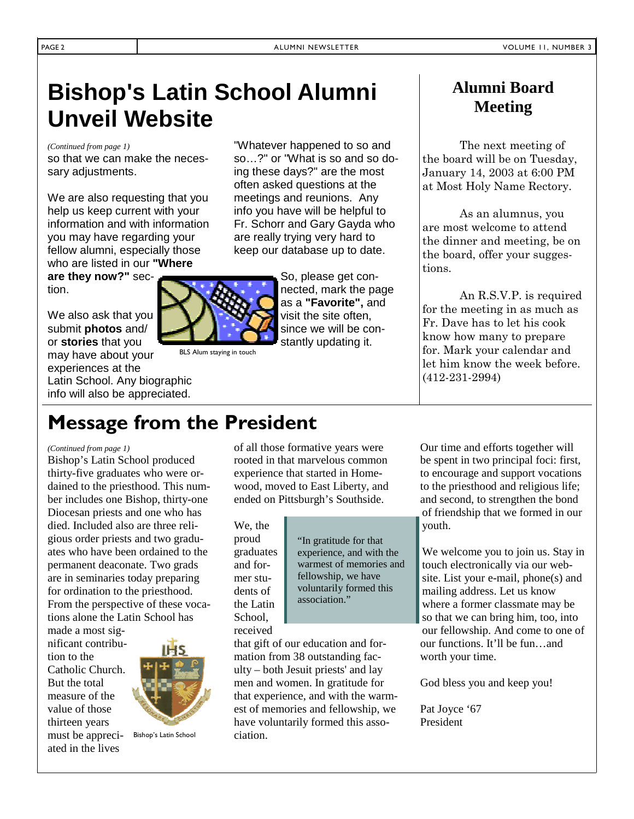# **Bishop's Latin School Alumni Unveil Website**

*(Continued from page 1)* 

so that we can make the necessary adjustments.

We are also requesting that you help us keep current with your information and with information you may have regarding your fellow alumni, especially those who are listed in our **"Where** 

**are they now?"** section.

We also ask that you submit **photos** and/ or **stories** that you may have about your experiences at the Latin School. Any biographic info will also be appreciated.

"Whatever happened to so and so…?" or "What is so and so doing these days?" are the most often asked questions at the meetings and reunions. Any info you have will be helpful to Fr. Schorr and Gary Gayda who are really trying very hard to keep our database up to date.



BLS Alum staying in touch

### **Alumni Board Meeting**

 The next meeting of the board will be on Tuesday, January 14, 2003 at 6:00 PM at Most Holy Name Rectory.

 As an alumnus, you are most welcome to attend the dinner and meeting, be on the board, offer your suggestions.

 An R.S.V.P. is required for the meeting in as much as Fr. Dave has to let his cook know how many to prepare for. Mark your calendar and let him know the week before. (412-231-2994)

# **Message from the President**

### *(Continued from page 1)*

Bishop's Latin School produced thirty-five graduates who were ordained to the priesthood. This number includes one Bishop, thirty-one Diocesan priests and one who has died. Included also are three religious order priests and two graduates who have been ordained to the permanent deaconate. Two grads are in seminaries today preparing for ordination to the priesthood. From the perspective of these vocations alone the Latin School has

made a most significant contribution to the Catholic Church. But the total measure of the value of those thirteen years must be appreciated in the lives



Bishop's Latin School

of all those formative years were rooted in that marvelous common experience that started in Homewood, moved to East Liberty, and ended on Pittsburgh's Southside.

We, the proud graduates and former students of the Latin School, received

"In gratitude for that experience, and with the warmest of memories and fellowship, we have voluntarily formed this association."

that gift of our education and formation from 38 outstanding faculty – both Jesuit priests' and lay men and women. In gratitude for that experience, and with the warmest of memories and fellowship, we have voluntarily formed this association.

Our time and efforts together will be spent in two principal foci: first, to encourage and support vocations to the priesthood and religious life; and second, to strengthen the bond of friendship that we formed in our youth.

We welcome you to join us. Stay in touch electronically via our website. List your e-mail, phone(s) and mailing address. Let us know where a former classmate may be so that we can bring him, too, into our fellowship. And come to one of our functions. It'll be fun…and worth your time.

God bless you and keep you!

Pat Joyce '67 President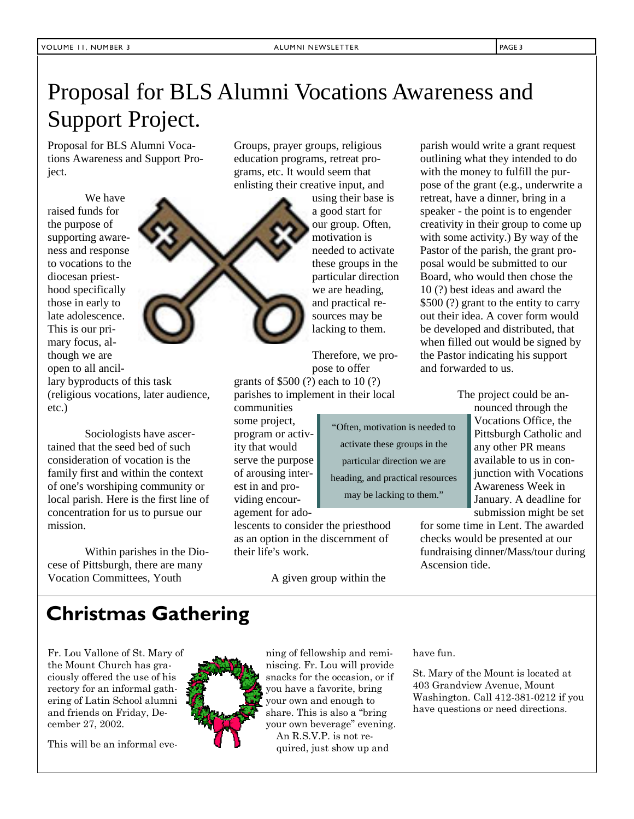Proposal for BLS Alumni Vocations Awareness and Support Project.

We have raised funds for the purpose of supporting awareness and response to vocations to the diocesan priesthood specifically those in early to late adolescence. This is our primary focus, although we are open to all ancil-

lary byproducts of this task (religious vocations, later audience, etc.)

Sociologists have ascertained that the seed bed of such consideration of vocation is the family first and within the context of one's worshiping community or local parish. Here is the first line of concentration for us to pursue our mission.

Within parishes in the Diocese of Pittsburgh, there are many Vocation Committees, Youth

Groups, prayer groups, religious education programs, retreat programs, etc. It would seem that enlisting their creative input, and

> using their base is a good start for our group. Often, motivation is needed to activate these groups in the particular direction we are heading, and practical resources may be lacking to them.

Therefore, we propose to offer

> "Often, motivation is needed to activate these groups in the particular direction we are heading, and practical resources may be lacking to them."

grants of \$500 (?) each to 10 (?) parishes to implement in their local communities

some project, program or activity that would serve the purpose of arousing interest in and providing encouragement for ado-

lescents to consider the priesthood as an option in the discernment of their life's work.

A given group within the

parish would write a grant request outlining what they intended to do with the money to fulfill the purpose of the grant (e.g., underwrite a retreat, have a dinner, bring in a speaker - the point is to engender creativity in their group to come up with some activity.) By way of the Pastor of the parish, the grant proposal would be submitted to our Board, who would then chose the 10 (?) best ideas and award the \$500 (?) grant to the entity to carry out their idea. A cover form would be developed and distributed, that when filled out would be signed by the Pastor indicating his support and forwarded to us.

The project could be an-

nounced through the Vocations Office, the Pittsburgh Catholic and any other PR means available to us in conjunction with Vocations Awareness Week in January. A deadline for submission might be set

for some time in Lent. The awarded checks would be presented at our fundraising dinner/Mass/tour during Ascension tide.

# **Christmas Gathering**

Fr. Lou Vallone of St. Mary of the Mount Church has graciously offered the use of his rectory for an informal gathering of Latin School alumni and friends on Friday, December 27, 2002.

This will be an informal eve-



ning of fellowship and reminiscing. Fr. Lou will provide snacks for the occasion, or if you have a favorite, bring your own and enough to share. This is also a "bring your own beverage" evening. An R.S.V.P. is not required, just show up and

have fun.

St. Mary of the Mount is located at 403 Grandview Avenue, Mount Washington. Call 412-381-0212 if you have questions or need directions.